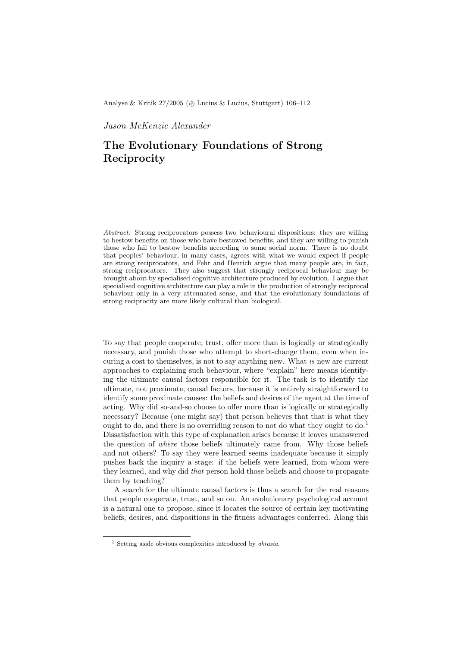Analyse & Kritik 27/2005 ( c Lucius & Lucius, Stuttgart) 106–112

Jason McKenzie Alexander

## The Evolutionary Foundations of Strong **Reciprocity**

Abstract: Strong reciprocators possess two behavioural dispositions: they are willing to bestow benefits on those who have bestowed benefits, and they are willing to punish those who fail to bestow benefits according to some social norm. There is no doubt that peoples' behaviour, in many cases, agrees with what we would expect if people are strong reciprocators, and Fehr and Henrich argue that many people are, in fact, strong reciprocators. They also suggest that strongly reciprocal behaviour may be brought about by specialised cognitive architecture produced by evolution. I argue that specialised cognitive architecture can play a role in the production of strongly reciprocal behaviour only in a very attenuated sense, and that the evolutionary foundations of strong reciprocity are more likely cultural than biological.

To say that people cooperate, trust, offer more than is logically or strategically necessary, and punish those who attempt to short-change them, even when incuring a cost to themselves, is not to say anything new. What is new are current approaches to explaining such behaviour, where "explain" here means identifying the ultimate causal factors responsible for it. The task is to identify the ultimate, not proximate, causal factors, because it is entirely straightforward to identify some proximate causes: the beliefs and desires of the agent at the time of acting. Why did so-and-so choose to offer more than is logically or strategically necessary? Because (one might say) that person believes that that is what they ought to do, and there is no overriding reason to not do what they ought to do.<sup>1</sup> Dissatisfaction with this type of explanation arises because it leaves unanswered the question of where those beliefs ultimately came from. Why those beliefs and not others? To say they were learned seems inadequate because it simply pushes back the inquiry a stage: if the beliefs were learned, from whom were they learned, and why did that person hold those beliefs and choose to propagate them by teaching?

A search for the ultimate causal factors is thus a search for the real reasons that people cooperate, trust, and so on. An evolutionary psychological account is a natural one to propose, since it locates the source of certain key motivating beliefs, desires, and dispositions in the fitness advantages conferred. Along this

<sup>1</sup> Setting aside obvious complexities introduced by akrasia.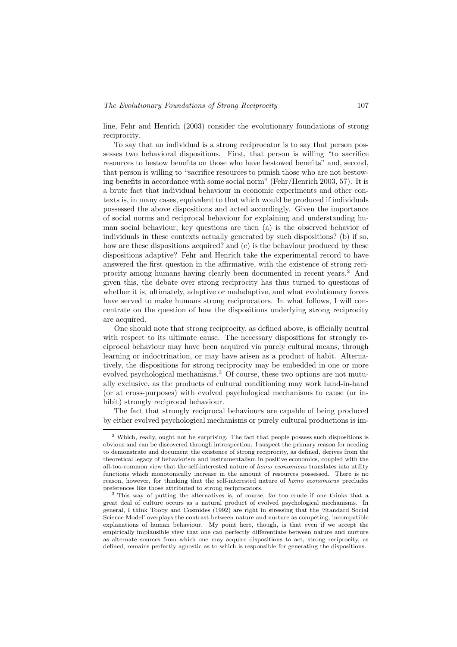line, Fehr and Henrich (2003) consider the evolutionary foundations of strong reciprocity.

To say that an individual is a strong reciprocator is to say that person possesses two behavioral dispositions. First, that person is willing "to sacrifice resources to bestow benefits on those who have bestowed benefits" and, second, that person is willing to "sacrifice resources to punish those who are not bestowing benefits in accordance with some social norm" (Fehr/Henrich 2003, 57). It is a brute fact that individual behaviour in economic experiments and other contexts is, in many cases, equivalent to that which would be produced if individuals possessed the above dispositions and acted accordingly. Given the importance of social norms and reciprocal behaviour for explaining and understanding human social behaviour, key questions are then (a) is the observed behavior of individuals in these contexts actually generated by such dispositions? (b) if so, how are these dispositions acquired? and (c) is the behaviour produced by these dispositions adaptive? Fehr and Henrich take the experimental record to have answered the first question in the affirmative, with the existence of strong reciprocity among humans having clearly been documented in recent years.<sup>2</sup> And given this, the debate over strong reciprocity has thus turned to questions of whether it is, ultimately, adaptive or maladaptive, and what evolutionary forces have served to make humans strong reciprocators. In what follows, I will concentrate on the question of how the dispositions underlying strong reciprocity are acquired.

One should note that strong reciprocity, as defined above, is officially neutral with respect to its ultimate cause. The necessary dispositions for strongly reciprocal behaviour may have been acquired via purely cultural means, through learning or indoctrination, or may have arisen as a product of habit. Alternatively, the dispositions for strong reciprocity may be embedded in one or more evolved psychological mechanisms.<sup>3</sup> Of course, these two options are not mutually exclusive, as the products of cultural conditioning may work hand-in-hand (or at cross-purposes) with evolved psychological mechanisms to cause (or inhibit) strongly reciprocal behaviour.

The fact that strongly reciprocal behaviours are capable of being produced by either evolved psychological mechanisms or purely cultural productions is im-

<sup>2</sup> Which, really, ought not be surprising. The fact that people possess such dispositions is obvious and can be discovered through introspection. I suspect the primary reason for needing to demonstrate and document the existence of strong reciprocity, as defined, derives from the theoretical legacy of behaviorism and instrumentalism in positive economics, coupled with the all-too-common view that the self-interested nature of homo economicus translates into utility functions which monotonically increase in the amount of resources possessed. There is no reason, however, for thinking that the self-interested nature of homo economicus precludes preferences like those attributed to strong reciprocators.

<sup>&</sup>lt;sup>3</sup> This way of putting the alternatives is, of course, far too crude if one thinks that a great deal of culture occurs as a natural product of evolved psychological mechanisms. In general, I think Tooby and Cosmides (1992) are right in stressing that the 'Standard Social Science Model' overplays the contrast between nature and nurture as competing, incompatible explanations of human behaviour. My point here, though, is that even if we accept the empirically implausible view that one can perfectly differentiate between nature and nurture as alternate sources from which one may acquire dispositions to act, strong reciprocity, as defined, remains perfectly agnostic as to which is responsible for generating the dispositions.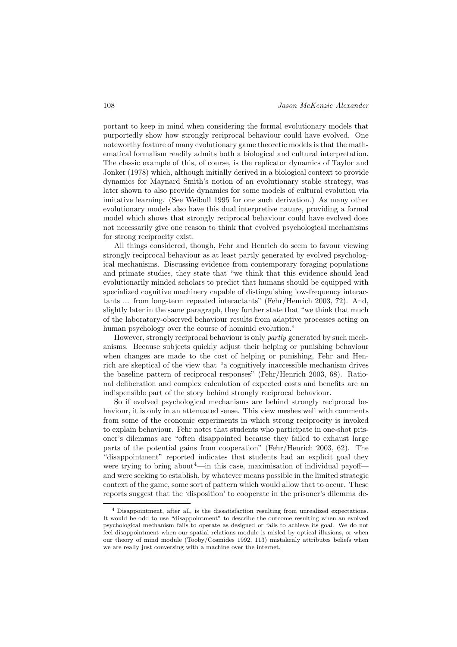portant to keep in mind when considering the formal evolutionary models that purportedly show how strongly reciprocal behaviour could have evolved. One noteworthy feature of many evolutionary game theoretic models is that the mathematical formalism readily admits both a biological and cultural interpretation. The classic example of this, of course, is the replicator dynamics of Taylor and Jonker (1978) which, although initially derived in a biological context to provide dynamics for Maynard Smith's notion of an evolutionary stable strategy, was later shown to also provide dynamics for some models of cultural evolution via imitative learning. (See Weibull 1995 for one such derivation.) As many other evolutionary models also have this dual interpretive nature, providing a formal model which shows that strongly reciprocal behaviour could have evolved does not necessarily give one reason to think that evolved psychological mechanisms for strong reciprocity exist.

All things considered, though, Fehr and Henrich do seem to favour viewing strongly reciprocal behaviour as at least partly generated by evolved psychological mechanisms. Discussing evidence from contemporary foraging populations and primate studies, they state that "we think that this evidence should lead evolutionarily minded scholars to predict that humans should be equipped with specialized cognitive machinery capable of distinguishing low-frequency interactants ... from long-term repeated interactants" (Fehr/Henrich 2003, 72). And, slightly later in the same paragraph, they further state that "we think that much of the laboratory-observed behaviour results from adaptive processes acting on human psychology over the course of hominid evolution."

However, strongly reciprocal behaviour is only partly generated by such mechanisms. Because subjects quickly adjust their helping or punishing behaviour when changes are made to the cost of helping or punishing, Fehr and Henrich are skeptical of the view that "a cognitively inaccessible mechanism drives the baseline pattern of reciprocal responses" (Fehr/Henrich 2003, 68). Rational deliberation and complex calculation of expected costs and benefits are an indispensible part of the story behind strongly reciprocal behaviour.

So if evolved psychological mechanisms are behind strongly reciprocal behaviour, it is only in an attenuated sense. This view meshes well with comments from some of the economic experiments in which strong reciprocity is invoked to explain behaviour. Fehr notes that students who participate in one-shot prisoner's dilemmas are "often disappointed because they failed to exhaust large parts of the potential gains from cooperation" (Fehr/Henrich 2003, 62). The "disappointment" reported indicates that students had an explicit goal they were trying to bring about<sup>4</sup>—in this case, maximisation of individual payoffand were seeking to establish, by whatever means possible in the limited strategic context of the game, some sort of pattern which would allow that to occur. These reports suggest that the 'disposition' to cooperate in the prisoner's dilemma de-

<sup>4</sup> Disappointment, after all, is the dissatisfaction resulting from unrealized expectations. It would be odd to use "disappointment" to describe the outcome resulting when an evolved psychological mechanism fails to operate as designed or fails to achieve its goal. We do not feel disappointment when our spatial relations module is misled by optical illusions, or when our theory of mind module (Tooby/Cosmides 1992, 113) mistakenly attributes beliefs when we are really just conversing with a machine over the internet.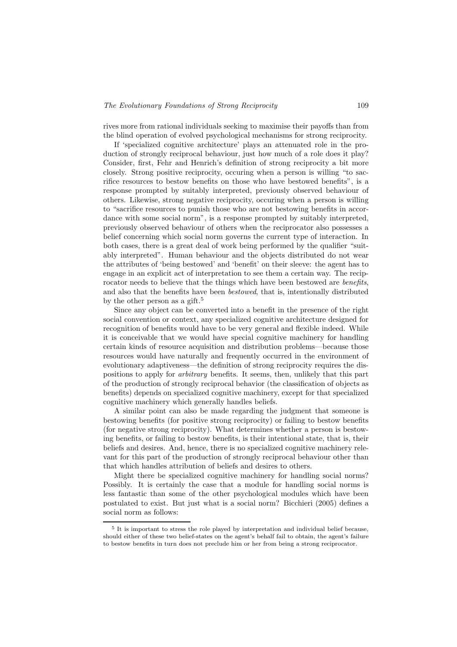rives more from rational individuals seeking to maximise their payoffs than from the blind operation of evolved psychological mechanisms for strong reciprocity.

If 'specialized cognitive architecture' plays an attenuated role in the production of strongly reciprocal behaviour, just how much of a role does it play? Consider, first, Fehr and Henrich's definition of strong reciprocity a bit more closely. Strong positive reciprocity, occuring when a person is willing "to sacrifice resources to bestow benefits on those who have bestowed benefits", is a response prompted by suitably interpreted, previously observed behaviour of others. Likewise, strong negative reciprocity, occuring when a person is willing to "sacrifice resources to punish those who are not bestowing benefits in accordance with some social norm", is a response prompted by suitably interpreted, previously observed behaviour of others when the reciprocator also possesses a belief concerning which social norm governs the current type of interaction. In both cases, there is a great deal of work being performed by the qualifier "suitably interpreted". Human behaviour and the objects distributed do not wear the attributes of 'being bestowed' and 'benefit' on their sleeve: the agent has to engage in an explicit act of interpretation to see them a certain way. The reciprocator needs to believe that the things which have been bestowed are *benefits*, and also that the benefits have been bestowed, that is, intentionally distributed by the other person as a gift.<sup>5</sup>

Since any object can be converted into a benefit in the presence of the right social convention or context, any specialized cognitive architecture designed for recognition of benefits would have to be very general and flexible indeed. While it is conceivable that we would have special cognitive machinery for handling certain kinds of resource acquisition and distribution problems—because those resources would have naturally and frequently occurred in the environment of evolutionary adaptiveness—the definition of strong reciprocity requires the dispositions to apply for arbitrary benefits. It seems, then, unlikely that this part of the production of strongly reciprocal behavior (the classification of objects as benefits) depends on specialized cognitive machinery, except for that specialized cognitive machinery which generally handles beliefs.

A similar point can also be made regarding the judgment that someone is bestowing benefits (for positive strong reciprocity) or failing to bestow benefits (for negative strong reciprocity). What determines whether a person is bestowing benefits, or failing to bestow benefits, is their intentional state, that is, their beliefs and desires. And, hence, there is no specialized cognitive machinery relevant for this part of the production of strongly reciprocal behaviour other than that which handles attribution of beliefs and desires to others.

Might there be specialized cognitive machinery for handling social norms? Possibly. It is certainly the case that a module for handling social norms is less fantastic than some of the other psychological modules which have been postulated to exist. But just what is a social norm? Bicchieri (2005) defines a social norm as follows:

<sup>5</sup> It is important to stress the role played by interpretation and individual belief because, should either of these two belief-states on the agent's behalf fail to obtain, the agent's failure to bestow benefits in turn does not preclude him or her from being a strong reciprocator.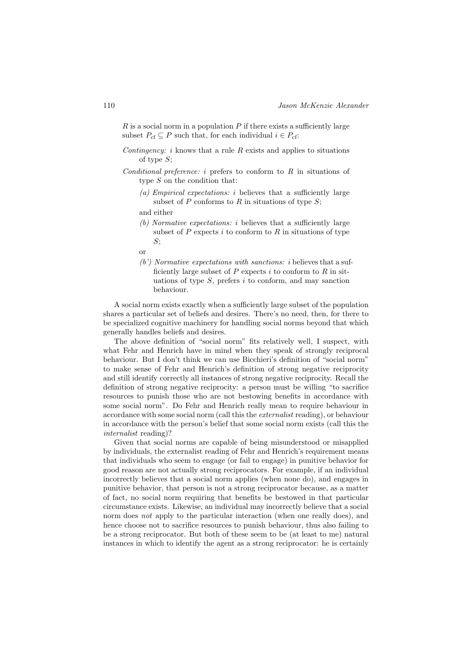$R$  is a social norm in a population  $P$  if there exists a sufficiently large subset  $P_{\rm cf} \subseteq P$  such that, for each individual  $i \in P_{\rm cf}$ :

- Contingency: i knows that a rule  $R$  exists and applies to situations of type S;
- Conditional preference: i prefers to conform to  $R$  in situations of type  $S$  on the condition that:
	- (a) Empirical expectations: i believes that a sufficiently large subset of P conforms to R in situations of type  $S$ ;
	- and either
	- $(b)$  Normative expectations: i believes that a sufficiently large subset of  $P$  expects  $i$  to conform to  $R$  in situations of type  $S$ .
	- or
	- $(b')$  Normative expectations with sanctions: i believes that a sufficiently large subset of  $P$  expects i to conform to  $R$  in situations of type  $S$ , prefers  $i$  to conform, and may sanction behaviour.

A social norm exists exactly when a sufficiently large subset of the population shares a particular set of beliefs and desires. There's no need, then, for there to be specialized cognitive machinery for handling social norms beyond that which generally handles beliefs and desires.

The above definition of "social norm" fits relatively well, I suspect, with what Fehr and Henrich have in mind when they speak of strongly reciprocal behaviour. But I don't think we can use Bicchieri's definition of "social norm" to make sense of Fehr and Henrich's definition of strong negative reciprocity and still identify correctly all instances of strong negative reciprocity. Recall the definition of strong negative reciprocity: a person must be willing "to sacrifice resources to punish those who are not bestowing benefits in accordance with some social norm". Do Fehr and Henrich really mean to require behaviour in accordance with some social norm (call this the *externalist* reading), or behaviour in accordance with the person's belief that some social norm exists (call this the internalist reading)?

Given that social norms are capable of being misunderstood or misapplied by individuals, the externalist reading of Fehr and Henrich's requirement means that individuals who seem to engage (or fail to engage) in punitive behavior for good reason are not actually strong reciprocators. For example, if an individual incorrectly believes that a social norm applies (when none do), and engages in punitive behavior, that person is not a strong reciprocator because, as a matter of fact, no social norm requiring that benefits be bestowed in that particular circumstance exists. Likewise, an individual may incorrectly believe that a social norm does not apply to the particular interaction (when one really does), and hence choose not to sacrifice resources to punish behaviour, thus also failing to be a strong reciprocator. But both of these seem to be (at least to me) natural instances in which to identify the agent as a strong reciprocator: he is certainly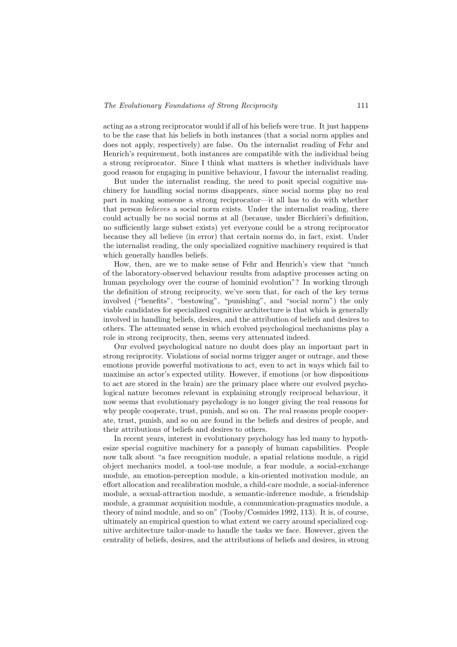acting as a strong reciprocator would if all of his beliefs were true. It just happens to be the case that his beliefs in both instances (that a social norm applies and does not apply, respectively) are false. On the internalist reading of Fehr and Henrich's requirement, both instances are compatible with the individual being a strong reciprocator. Since I think what matters is whether individuals have good reason for engaging in punitive behaviour, I favour the internalist reading.

But under the internalist reading, the need to posit special cognitive machinery for handling social norms disappears, since social norms play no real part in making someone a strong reciprocator—it all has to do with whether that person believes a social norm exists. Under the internalist reading, there could actually be no social norms at all (because, under Bicchieri's definition, no sufficiently large subset exists) yet everyone could be a strong reciprocator because they all believe (in error) that certain norms do, in fact, exist. Under the internalist reading, the only specialized cognitive machinery required is that which generally handles beliefs.

How, then, are we to make sense of Fehr and Henrich's view that "much of the laboratory-observed behaviour results from adaptive processes acting on human psychology over the course of hominid evolution"? In working through the definition of strong reciprocity, we've seen that, for each of the key terms involved ("benefits", "bestowing", "punishing", and "social norm") the only viable candidates for specialized cognitive architecture is that which is generally involved in handling beliefs, desires, and the attribution of beliefs and desires to others. The attenuated sense in which evolved psychological mechanisms play a role in strong reciprocity, then, seems very attenuated indeed.

Our evolved psychological nature no doubt does play an important part in strong reciprocity. Violations of social norms trigger anger or outrage, and these emotions provide powerful motivations to act, even to act in ways which fail to maximise an actor's expected utility. However, if emotions (or how dispositions to act are stored in the brain) are the primary place where our evolved psychological nature becomes relevant in explaining strongly reciprocal behaviour, it now seems that evolutionary psychology is no longer giving the real reasons for why people cooperate, trust, punish, and so on. The real reasons people cooperate, trust, punish, and so on are found in the beliefs and desires of people, and their attributions of beliefs and desires to others.

In recent years, interest in evolutionary psychology has led many to hypothesize special cognitive machinery for a panoply of human capabilities. People now talk about "a face recognition module, a spatial relations module, a rigid object mechanics model, a tool-use module, a fear module, a social-exchange module, an emotion-perception module, a kin-oriented motivation module, an effort allocation and recalibration module, a child-care module, a social-inference module, a sexual-attraction module, a semantic-inference module, a friendship module, a grammar acquisition module, a communication-pragmatics module, a theory of mind module, and so on" (Tooby/Cosmides 1992, 113). It is, of course, ultimately an empirical question to what extent we carry around specialized cognitive architecture tailor-made to handle the tasks we face. However, given the centrality of beliefs, desires, and the attributions of beliefs and desires, in strong